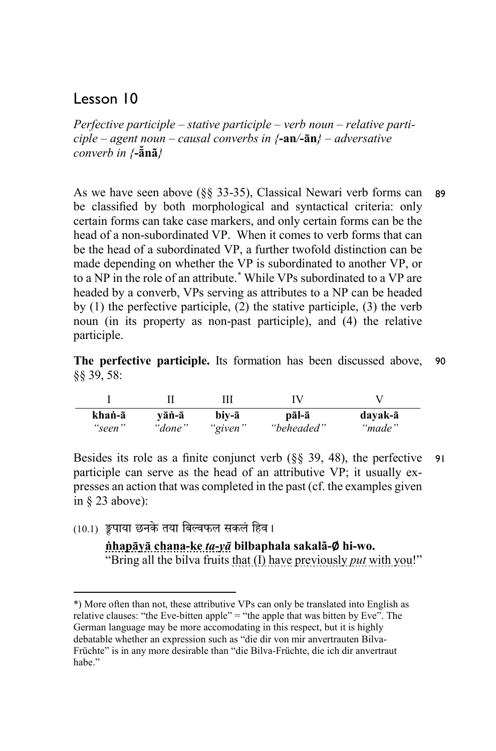# Lesson 10

*Perfective participle – stative participle – verb noun – relative participle – agent noun – causal converbs in {***-an***/***-ān***} – adversative converb in {***-ā̆nã***}* 

As we have seen above (§§ 33-35), Classical Newari verb forms can be classified by both morphological and syntactical criteria: only certain forms can take case markers, and only certain forms can be the head of a non-subordinated VP. When it comes to verb forms that can be the head of a subordinated VP, a further twofold distinction can be made depending on whether the VP is subordinated to another VP, or to a NP in the role of an attribute. \* While VPs subordinated to a VP are headed by a converb, VPs serving as attributes to a NP can be headed by (1) the perfective participle, (2) the stative participle, (3) the verb noun (in its property as non-past participle), and (4) the relative participle. 89

**The perfective participle.** Its formation has been discussed above, §§ 39, 58: 90

|        |        |         | ΓV         |         |
|--------|--------|---------|------------|---------|
| khaṅ-ā | vāṅ-ā  | biv-ā   | pāl-ā      | dayak-ā |
| "seen" | "done" | "given" | "beheaded" | "made"  |

Besides its role as a finite conjunct verb (§§ 39, 48), the perfective participle can serve as the head of an attributive VP; it usually expresses an action that was completed in the past (cf. the examples given in § 23 above): 91

 $(10.1)$  ङ्वपाया छनके तया बिल्वफल सकलं हिव।

1

**ṅhapāyā chana-ke** *ta-yā* **bilbaphala sakalã-**∅ **hi-wo.**  "Bring all the bilva fruits that (I) have previously *put* with you!"

<sup>\*)</sup> More often than not, these attributive VPs can only be translated into English as relative clauses: "the Eve-bitten apple" = "the apple that was bitten by Eve". The German language may be more accomodating in this respect, but it is highly debatable whether an expression such as "die dir von mir anvertrauten Bilva-Früchte" is in any more desirable than "die Bilva-Früchte, die ich dir anvertraut habe."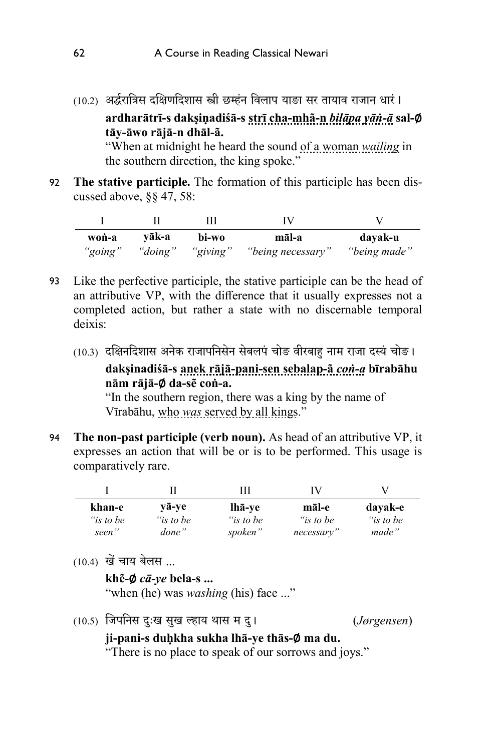(10.2) अर्द्धरात्रिस दक्षिणदिशास स्त्री छम्हंन विलाप याङा सर तायाव राजान धारं ।

**ardharātrī-s dakṣiṇadiśā-s strī cha-mhã-n** *bilāpa yāṅ-ā* **sal-**∅ **tāy-āwo rājā-n dhāl-ã.** 

 "When at midnight he heard the sound of a woman *wailing* in the southern direction, the king spoke."

**The stative participle.** The formation of this participle has been discussed above, §§ 47, 58: 92

| won-a   | vāk-a   | bi-wo    | māl-a             | davak-u      |
|---------|---------|----------|-------------------|--------------|
| "going" | "doing" | "giving" | "being necessary" | "being made" |

- 93 Like the perfective participle, the stative participle can be the head of an attributive VP, with the difference that it usually expresses not a completed action, but rather a state with no discernable temporal deixis:
	- (10.3) दक्षिनदिशास अनेक राजापनिसेन सेबलपं चोङ वीरबाह नाम राजा दस्यं चोङ।

**dakṣinadiśā-s anek rājā-pani-sen sebalap-ã** *coṅ-a* **bīrabāhu nām rājā-**∅ **da-sẽ coṅ-a.** 

"In the southern region, there was a king by the name of Vīrabāhu, who *was* served by all kings."

**The non-past participle (verb noun).** As head of an attributive VP, it expresses an action that will be or is to be performed. This usage is comparatively rare. 94

|           |           | ш         | IV         |           |
|-----------|-----------|-----------|------------|-----------|
| khan-e    | vā-ve     | lhā-ve    | māl-e      | dayak-e   |
| "is to be | "is to be | "is to be | "is to be  | "is to be |
| seen"     | done"     | spoken"   | necessary" | made"     |

(10.4) खेचाय बेलस ...

**khẽ-**∅ *cā-ye* **bela-s ...** 

"when (he) was *washing* (his) face ..."

(10.5) �जपिनस दःखु सुख �ाय थास म दרु) *Jørgensen*)

### **ji-pani-s duḥkha sukha lhā-ye thās-**∅ **ma du.**

"There is no place to speak of our sorrows and joys."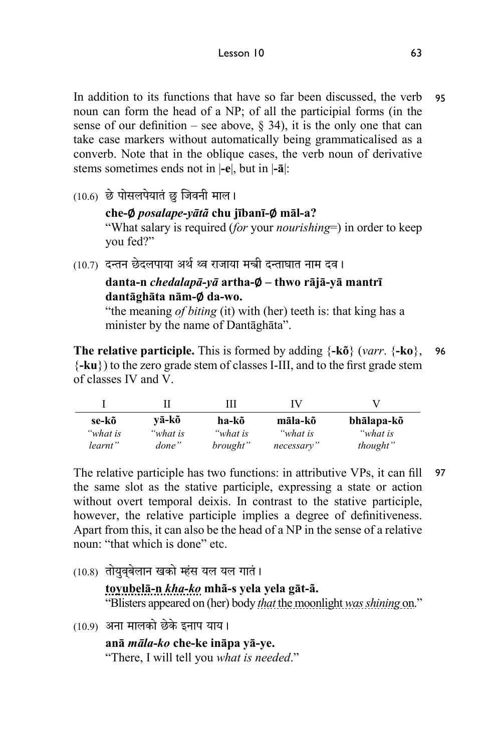In addition to its functions that have so far been discussed, the verb noun can form the head of a NP; of all the participial forms (in the sense of our definition – see above,  $\S$  34), it is the only one that can take case markers without automatically being grammaticalised as a converb. Note that in the oblique cases, the verb noun of derivative stems sometimes ends not in |**-e**|, but in |**-ā**|: 95

 $(10.6)$  छे पोसलपेयातं छ जिवनी माल।

**che-**∅ *posalape-yātã* **chu jībanī-**∅ **māl-a?**  "What salary is required (*for* your *nourishing*=) in order to keep you fed?"

(10.7) दन्तन छेदलपाया अर्थ थ्व राजाया मन्त्री दन्ताघात नाम दव।

#### **danta-n** *chedalapā-yā* **artha-**∅ **– thwo rājā-yā mantrī dantāghāta nām-**∅ **da-wo.**

"the meaning *of biting* (it) with (her) teeth is: that king has a minister by the name of Dantāghāta".

**The relative participle.** This is formed by adding {**-kõ**} (*varr*. {**-ko**}, {**-ku**}) to the zero grade stem of classes I-III, and to the first grade stem of classes IV and V. 96

|          |          | Ш        | IV         |            |
|----------|----------|----------|------------|------------|
| se-kõ    | vā-kõ    | ha-kõ    | māla-kõ    | bhālapa-kõ |
| "what is | "what is | "what is | "what is   | "what is   |
| learnt"  | done"    | brought" | necessary" | thought"   |

The relative participle has two functions: in attributive VPs, it can fill the same slot as the stative participle, expressing a state or action without overt temporal deixis. In contrast to the stative participle, however, the relative participle implies a degree of definitiveness. Apart from this, it can also be the head of a NP in the sense of a relative noun: "that which is done" etc. 97

 $(10.8)$  तोयुवबेलान खको म्हंस यल यल गातं।

**toyubelā-n** *kha-ko* **mhã-s yela yela gāt-ã.**  "Blisters appeared on (her) body *that* the moonlight *was shining* on."

 $(10.9)$  अना मालको छेके इनाप याय।

**anā** *māla-ko* **che-ke ināpa yā-ye.**  "There, I will tell you *what is needed*."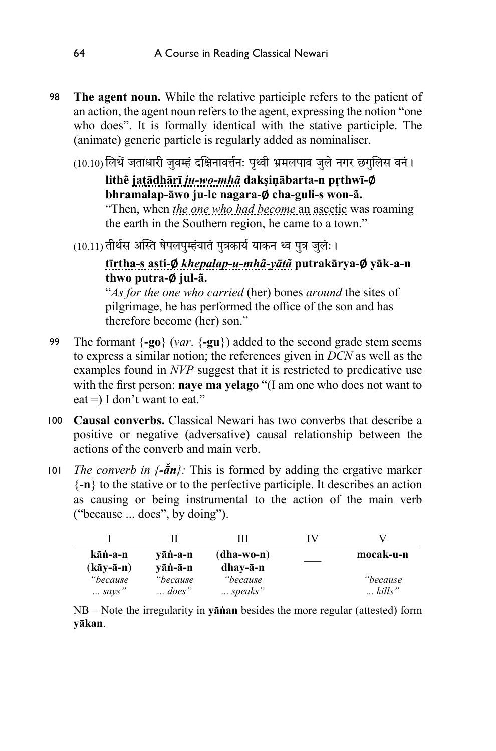- 98 **The agent noun.** While the relative participle refers to the patient of an action, the agent noun refers to the agent, expressing the notion "one who does". It is formally identical with the stative participle. The (animate) generic particle is regularly added as nominaliser.
	- (10.10) लिथें जताधारी जवम्हं दक्षिनावर्त्तनः पृथ्वी भ्रमलपाव जले नगर छगलिस वनं।

**lithẽ jaṭādhārī** *ju-wo-mhã* **dakṣiṇābarta-n pṛthwī-**∅ **bhramalap-āwo ju-le nagara-**∅ **cha-guli-s won-ã.**  "Then, when *the one who had become* an ascetic was roaming the earth in the Southern region, he came to a town."

 $(10.11)$  तीर्थस अस्ति षेपलपुम्हंयातं पुत्रकार्य याकन थ्व पुत्र जुलंः ।

#### **tīrtha-s asti-**∅ *khepalap-u-mhã-yātã* **putrakārya-**∅ **yāk-a-n thwo putra-**∅ **jul-ã.**

"*As for the one who carried* (her) bones *around* the sites of pilgrimage, he has performed the office of the son and has therefore become (her) son."

- The formant {**-go**} (*var*. {**-gu**}) added to the second grade stem seems to express a similar notion; the references given in *DCN* as well as the examples found in *NVP* suggest that it is restricted to predicative use with the first person: **naye ma yelago** "(I am one who does not want to eat =  $\vert$  I don't want to eat." 99
- **Causal converbs.** Classical Newari has two converbs that describe a 100 positive or negative (adversative) causal relationship between the actions of the converb and main verb.
- 101 *The converb in*  $\{-\bar{a}n\}$ : This is formed by adding the ergative marker {**-n**} to the stative or to the perfective participle. It describes an action as causing or being instrumental to the action of the main verb ("because ... does", by doing").

| kāṅ-a-n<br>(kāv-ā-n) | vāṅ-a-n<br>vāṅ-ā-n                | (dha-wo-n)<br>dhay-ā-n | mocak-u-n                          |
|----------------------|-----------------------------------|------------------------|------------------------------------|
| "because<br>$$ says" | <i>"because</i><br>$\ldots$ does" | "because<br>speaks"    | <i>"because</i><br>$\ldots$ kills" |

NB – Note the irregularity in **yāṅan** besides the more regular (attested) form **yākan**.